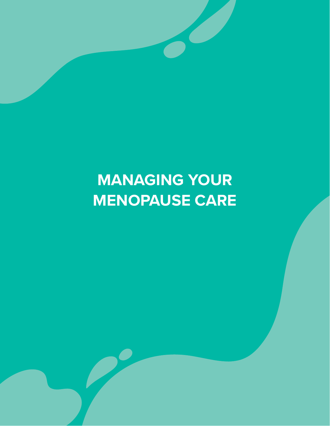# **MANAGING YOUR MENOPAUSE CARE**

e.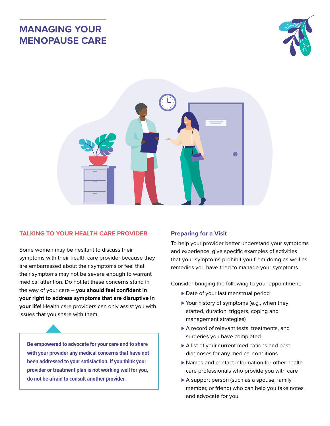# **MANAGING YOUR MENOPAUSE CARE**





## **TALKING TO YOUR HEALTH CARE PROVIDER**

Some women may be hesitant to discuss their symptoms with their health care provider because they are embarrassed about their symptoms or feel that their symptoms may not be severe enough to warrant medical attention. Do not let these concerns stand in the way of your care – **you should feel confident in your right to address symptoms that are disruptive in your life!** Health care providers can only assist you with issues that you share with them.

**Be empowered to advocate for your care and to share with your provider any medical concerns that have not been addressed to your satisfaction. If you think your provider or treatment plan is not working well for you, do not be afraid to consult another provider.**

#### **Preparing for a Visit**

To help your provider better understand your symptoms and experience, give specific examples of activities that your symptoms prohibit you from doing as well as remedies you have tried to manage your symptoms.

Consider bringing the following to your appointment:

- ► Date of your last menstrual period
- ► Your history of symptoms (e.g., when they started, duration, triggers, coping and management strategies)
- ▶ A record of relevant tests, treatments, and surgeries you have completed
- ▶ A list of your current medications and past diagnoses for any medical conditions
- ► Names and contact information for other health care professionals who provide you with care
- ► A support person (such as a spouse, family member, or friend) who can help you take notes and advocate for you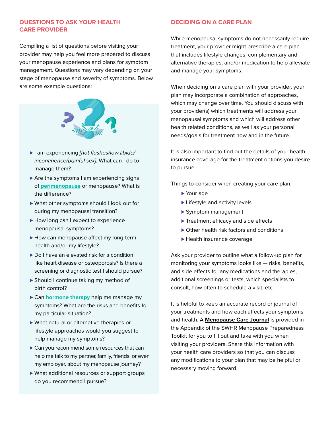### **QUESTIONS TO ASK YOUR HEALTH CARE PROVIDER**

Compiling a list of questions before visiting your provider may help you feel more prepared to discuss your menopause experience and plans for symptom management. Questions may vary depending on your stage of menopause and severity of symptoms. Below are some example questions:



- ⊲ I am experiencing *[hot flashes/low libido/ incontinence/painful sex]*. What can I do to manage them?
- ▶ Are the symptoms I am experiencing signs of **perimenopause** or menopause? What is the difference?
- ▶ What other symptoms should I look out for during my menopausal transition?
- ► How long can I expect to experience menopausal symptoms?
- ► How can menopause affect my long-term health and/or my lifestyle?
- ▶ Do I have an elevated risk for a condition like heart disease or osteoporosis? Is there a screening or diagnostic test I should pursue?
- ► Should I continue taking my method of birth control?
- ► Can **hormone therapy** help me manage my symptoms? What are the risks and benefits for my particular situation?
- ▶ What natural or alternative therapies or lifestyle approaches would you suggest to help manage my symptoms?
- ► Can you recommend some resources that can help me talk to my partner, family, friends, or even my employer, about my menopause journey?
- ▶ What additional resources or support groups do you recommend I pursue?

#### **DECIDING ON A CARE PLAN**

While menopausal symptoms do not necessarily require treatment, your provider might prescribe a care plan that includes lifestyle changes, complementary and alternative therapies, and/or medication to help alleviate and manage your symptoms.

When deciding on a care plan with your provider, your plan may incorporate a combination of approaches, which may change over time. You should discuss with your provider(s) which treatments will address your menopausal symptoms and which will address other health related conditions, as well as your personal needs/goals for treatment now and in the future.

It is also important to find out the details of your health insurance coverage for the treatment options you desire to pursue.

Things to consider when creating your care plan:

- ► Your age
- ► Lifestyle and activity levels
- ► Symptom management
- ► Treatment efficacy and side effects
- ▶ Other health risk factors and conditions
- ► Health insurance coverage

Ask your provider to outline what a follow-up plan for monitoring your symptoms looks like — risks, benefits, and side effects for any medications and therapies, additional screenings or tests, which specialists to consult, how often to schedule a visit, etc.

It is helpful to keep an accurate record or journal of your treatments and how each affects your symptoms and health. A **Menopause Care Journal** is provided in the Appendix of the SWHR Menopause Preparedness Toolkit for you to fill out and take with you when visiting your providers. Share this information with your health care providers so that you can discuss any modifications to your plan that may be helpful or necessary moving forward.